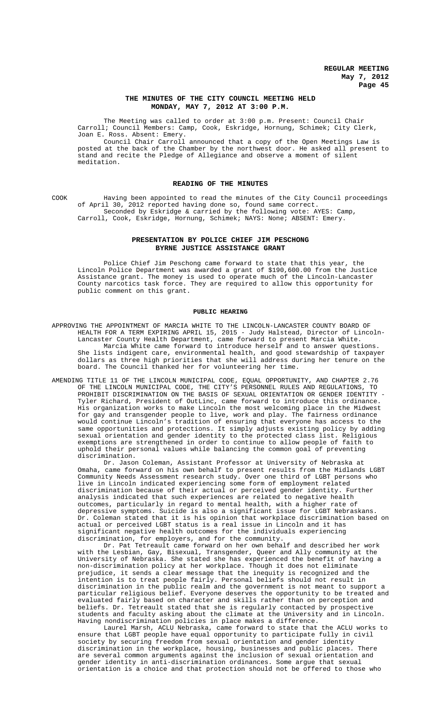## **THE MINUTES OF THE CITY COUNCIL MEETING HELD MONDAY, MAY 7, 2012 AT 3:00 P.M.**

The Meeting was called to order at 3:00 p.m. Present: Council Chair Carroll; Council Members: Camp, Cook, Eskridge, Hornung, Schimek; City Clerk, Joan E. Ross. Absent: Emery.

Council Chair Carroll announced that a copy of the Open Meetings Law is posted at the back of the Chamber by the northwest door. He asked all present to stand and recite the Pledge of Allegiance and observe a moment of silent meditation.

# **READING OF THE MINUTES**

COOK Having been appointed to read the minutes of the City Council proceedings of April 30, 2012 reported having done so, found same correct. Seconded by Eskridge & carried by the following vote: AYES: Camp, Carroll, Cook, Eskridge, Hornung, Schimek; NAYS: None; ABSENT: Emery.

# **PRESENTATION BY POLICE CHIEF JIM PESCHONG BYRNE JUSTICE ASSISTANCE GRANT**

Police Chief Jim Peschong came forward to state that this year, the Lincoln Police Department was awarded a grant of \$190,600.00 from the Justice Assistance grant. The money is used to operate much of the Lincoln-Lancaster County narcotics task force. They are required to allow this opportunity for public comment on this grant.

#### **PUBLIC HEARING**

- APPROVING THE APPOINTMENT OF MARCIA WHITE TO THE LINCOLN-LANCASTER COUNTY BOARD OF HEALTH FOR A TERM EXPIRING APRIL 15, 2015 - Judy Halstead, Director of Lincoln-Lancaster County Health Department, came forward to present Marcia White. Marcia White came forward to introduce herself and to answer questions. She lists indigent care, environmental health, and good stewardship of taxpayer dollars as three high priorities that she will address during her tenure on the board. The Council thanked her for volunteering her time.
- AMENDING TITLE 11 OF THE LINCOLN MUNICIPAL CODE, EQUAL OPPORTUNITY, AND CHAPTER 2.76 OF THE LINCOLN MUNICIPAL CODE, THE CITY'S PERSONNEL RULES AND REGULATIONS, PROHIBIT DISCRIMINATION ON THE BASIS OF SEXUAL ORIENTATION OR GENDER IDENTITY - Tyler Richard, President of OutLinc, came forward to introduce this ordinance. His organization works to make Lincoln the most welcoming place in the Midwest for gay and transgender people to live, work and play. The fairness ordinance would continue Lincoln's tradition of ensuring that everyone has access to the same opportunities and protections. It simply adjusts existing policy by adding sexual orientation and gender identity to the protected class list. Religious exemptions are strengthened in order to continue to allow people of faith to uphold their personal values while balancing the common goal of preventing discrimination.

Dr. Jason Coleman, Assistant Professor at University of Nebraska at Omaha, came forward on his own behalf to present results from the Midlands LGBT Community Needs Assessment research study. Over one third of LGBT persons who live in Lincoln indicated experiencing some form of employment related discrimination because of their actual or perceived gender identity. Further analysis indicated that such experiences are related to negative health outcomes, particularly in regard to mental health, with a higher rate of depressive symptoms. Suicide is also a significant issue for LGBT Nebraskans. Dr. Coleman stated that it is his opinion that workplace discrimination based on actual or perceived LGBT status is a real issue in Lincoln and it has significant negative health outcomes for the individuals experiencing discrimination, for employers, and for the community.

Dr. Pat Tetreault came forward on her own behalf and described her work with the Lesbian, Gay, Bisexual, Transgender, Queer and Ally community at the University of Nebraska. She stated she has experienced the benefit of having a non-discrimination policy at her workplace. Though it does not eliminate prejudice, it sends a clear message that the inequity is recognized and the intention is to treat people fairly. Personal beliefs should not result in discrimination in the public realm and the government is not meant to support a particular religious belief. Everyone deserves the opportunity to be treated and evaluated fairly based on character and skills rather than on perception and beliefs. Dr. Tetreault stated that she is regularly contacted by prospective students and faculty asking about the climate at the University and in Lincoln. Having nondiscrimination policies in place makes a difference.

Laurel Marsh, ACLU Nebraska, came forward to state that the ACLU works to ensure that LGBT people have equal opportunity to participate fully in civil society by securing freedom from sexual orientation and gender identity discrimination in the workplace, housing, businesses and public places. There are several common arguments against the inclusion of sexual orientation and gender identity in anti-discrimination ordinances. Some argue that sexual orientation is a choice and that protection should not be offered to those who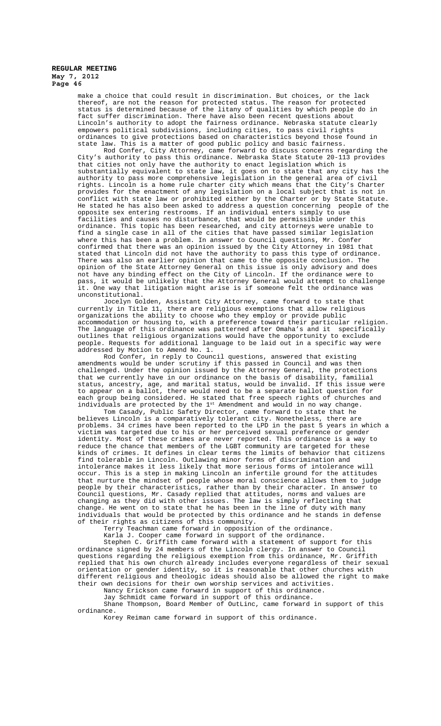> make a choice that could result in discrimination. But choices, or the lack thereof, are not the reason for protected status. The reason for protected status is determined because of the litany of qualities by which people do in fact suffer discrimination. There have also been recent questions about Lincoln's authority to adopt the fairness ordinance. Nebraska statute clearly empowers political subdivisions, including cities, to pass civil rights ordinances to give protections based on characteristics beyond those found in state law. This is a matter of good public policy and basic fairness.

Rod Confer, City Attorney, came forward to discuss concerns regarding the City's authority to pass this ordinance. Nebraska State Statute 20-113 provides that cities not only have the authority to enact legislation which is substantially equivalent to state law, it goes on to state that any city has the authority to pass more comprehensive legislation in the general area of civil rights. Lincoln is a home rule charter city which means that the City's Charter provides for the enactment of any legislation on a local subject that is not in conflict with state law or prohibited either by the Charter or by State Statute. He stated he has also been asked to address a question concerning people of the opposite sex entering restrooms. If an individual enters simply to use  $opposite$  sex entering restrooms. If an individual enters simply to facilities and causes no disturbance, that would be permissible under this ordinance. This topic has been researched, and city attorneys were unable to find a single case in all of the cities that have passed similar legislation where this has been a problem. In answer to Council questions, Mr. Confer confirmed that there was an opinion issued by the City Attorney in 1981 that stated that Lincoln did not have the authority to pass this type of ordinance. There was also an earlier opinion that came to the opposite conclusion. The opinion of the State Attorney General on this issue is only advisory and does not have any binding effect on the City of Lincoln. If the ordinance were to pass, it would be unlikely that the Attorney General would attempt to challenge it. One way that litigation might arise is if someone felt the ordinance was unconstitutional.

Jocelyn Golden, Assistant City Attorney, came forward to state that currently in Title 11, there are religious exemptions that allow religious organizations the ability to choose who they employ or provide public accommodation or housing to, with a preference toward their particular religion. The language of this ordinance was patterned after Omaha's and it specifically outlines that religious organizations would have the opportunity to exclude people. Requests for additional language to be laid out in a specific way were addressed by Motion to Amend No. 1.

Rod Confer, in reply to Council questions, answered that existing amendments would be under scrutiny if this passed in Council and was then challenged. Under the opinion issued by the Attorney General, the protections that we currently have in our ordinance on the basis of disability, familial that we currently have in our ordinance on the basis of disability, status, ancestry, age, and marital status, would be invalid. If this issue were to appear on a ballot, there would need to be a separate ballot question for each group being considered. He stated that free speech rights of churches and individuals are protected by the  $1^{st}$  Amendment and would in no way change.

Tom Casady, Public Safety Director, came forward to state that he believes Lincoln is a comparatively tolerant city. Nonetheless, there are problems. 34 crimes have been reported to the LPD in the past 5 years in which a victim was targeted due to his or her perceived sexual preference or gender identity. Most of these crimes are never reported. This ordinance is a way to reduce the chance that members of the LGBT community are targeted for these kinds of crimes. It defines in clear terms the limits of behavior that citizens find tolerable in Lincoln. Outlawing minor forms of discrimination and intolerance makes it less likely that more serious forms of intolerance will occur. This is a step in making Lincoln an infertile ground for the attitudes that nurture the mindset of people whose moral conscience allows them to judge people by their characteristics, rather than by their character. In answer to Council questions, Mr. Casady replied that attitudes, norms and values are changing as they did with other issues. The law is simply reflecting that change. He went on to state that he has been in the line of duty with many individuals that would be protected by this ordinance and he stands in defense of their rights as citizens of this community.

Terry Teachman came forward in opposition of the ordinance.

Karla J. Cooper came forward in support of the ordinance.

Stephen C. Griffith came forward with a statement of support for this ordinance signed by 24 members of the Lincoln clergy. In answer to Council<br>questions regarding the religious exemption from this ordinance. Mr. Griffith questions regarding the religious exemption from this ordinance, Mr. replied that his own church already includes everyone regardless of their sexual orientation or gender identity, so it is reasonable that other churches with different religious and theologic ideas should also be allowed the right to make their own decisions for their own worship services and activities.

Nancy Erickson came forward in support of this ordinance.

Jay Schmidt came forward in support of this ordinance. Shane Thompson, Board Member of OutLinc, came forward in support of this

ordinance. Korey Reiman came forward in support of this ordinance.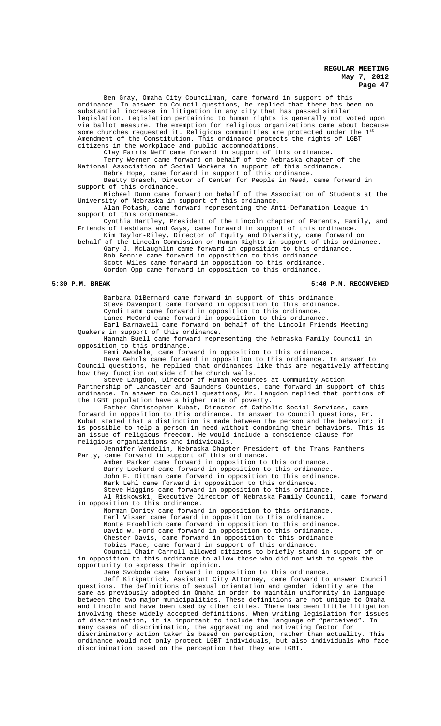Ben Gray, Omaha City Councilman, came forward in support of this ordinance. In answer to Council questions, he replied that there has been no substantial increase in litigation in any city that has passed similar legislation. Legislation pertaining to human rights is generally not voted upon via ballot measure. The exemption for religious organizations came about because some churches requested it. Religious communities are protected under the 1st Amendment of the Constitution. This ordinance protects the rights of LGBT citizens in the workplace and public accommodations.

Clay Farris Neff came forward in support of this ordinance.

Terry Werner came forward on behalf of the Nebraska chapter of the National Association of Social Workers in support of this ordinance.

Debra Hope, came forward in support of this ordinance.

Beatty Brasch, Director of Center for People in Need, came forward in support of this ordinance.

Michael Dunn came forward on behalf of the Association of Students at the University of Nebraska in support of this ordinance.

Alan Potash, came forward representing the Anti-Defamation League in support of this ordinance.

Cynthia Hartley, President of the Lincoln chapter of Parents, Family, and Friends of Lesbians and Gays, came forward in support of this ordinance. Kim Taylor-Riley, Director of Equity and Diversity, came forward on

behalf of the Lincoln Commission on Human Rights in support of this ordinance. Gary J. McLaughlin came forward in opposition to this ordinance.

Bob Bennie came forward in opposition to this ordinance. Scott Wiles came forward in opposition to this ordinance. Gordon Opp came forward in opposition to this ordinance.

#### **5:30 P.M. BREAK 5:40 P.M. RECONVENED**

Barbara DiBernard came forward in support of this ordinance. Steve Davenport came forward in opposition to this ordinance. Cyndi Lamm came forward in opposition to this ordinance. Lance McCord came forward in opposition to this ordinance.

Earl Barnawell came forward on behalf of the Lincoln Friends Meeting Quakers in support of this ordinance.

Hannah Buell came forward representing the Nebraska Family Council in opposition to this ordinance.

Femi Awodele, came forward in opposition to this ordinance.

Dave Gehrls came forward in opposition to this ordinance. In answer to Council questions, he replied that ordinances like this are negatively affecting how they function outside of the church walls.

Steve Langdon, Director of Human Resources at Community Action Partnership of Lancaster and Saunders Counties, came forward in support of this ordinance. In answer to Council questions, Mr. Langdon replied that portions of the LGBT population have a higher rate of poverty.

Father Christopher Kubat, Director of Catholic Social Services, came forward in opposition to this ordinance. In answer to Council questions, Fr. Kubat stated that a distinction is made between the person and the behavior; it is possible to help a person in need without condoning their behaviors. This is an issue of religious freedom. He would include a conscience clause for religious organizations and individuals.

Jennifer Wendelin, Nebraska Chapter President of the Trans Panthers Party, came forward in support of this ordinance.

Amber Parker came forward in opposition to this ordinance.

Barry Lockard came forward in opposition to this ordinance.

John F. Dittman came forward in opposition to this ordinance.

Mark Lehl came forward in opposition to this ordinance.

Steve Higgins came forward in opposition to this ordinance. Al Riskowski, Executive Director of Nebraska Family Council, came forward in opposition to this ordinance.

Norman Dority came forward in opposition to this ordinance.

Earl Visser came forward in opposition to this ordinance.

Monte Froehlich came forward in opposition to this ordinance.

David W. Ford came forward in opposition to this ordinance.

Chester Davis, came forward in opposition to this ordinance. Tobias Pace, came forward in support of this ordinance.

Council Chair Carroll allowed citizens to briefly stand in support of or in opposition to this ordinance to allow those who did not wish to speak the opportunity to express their opinion.

Jane Svoboda came forward in opposition to this ordinance.

Jeff Kirkpatrick, Assistant City Attorney, came forward to answer Council questions. The definitions of sexual orientation and gender identity are the same as previously adopted in Omaha in order to maintain uniformity in language between the two major municipalities. These definitions are not unique to Omaha and Lincoln and have been used by other cities. There has been little litigation involving these widely accepted definitions. When writing legislation for issues of discrimination, it is important to include the language of "perceived". In many cases of discrimination, the aggravating and motivating factor for discriminatory action taken is based on perception, rather than actuality. This ordinance would not only protect LGBT individuals, but also individuals who face discrimination based on the perception that they are LGBT.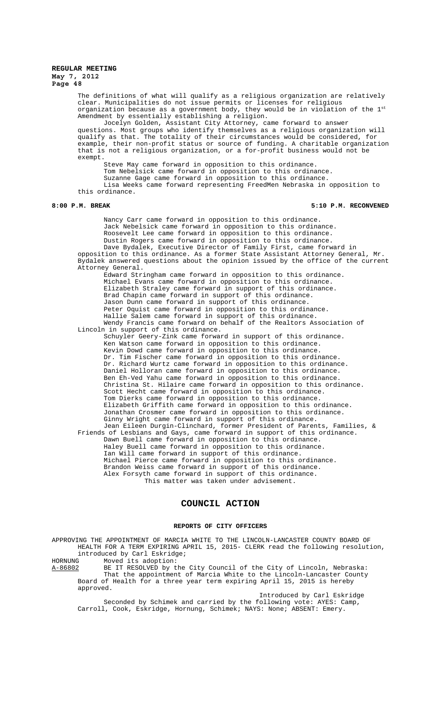The definitions of what will qualify as a religious organization are relatively clear. Municipalities do not issue permits or licenses for religious organization because as a government body, they would be in violation of the  $1^\mathrm{st}$ Amendment by essentially establishing a religion.

Jocelyn Golden, Assistant City Attorney, came forward to answer questions. Most groups who identify themselves as a religious organization will qualify as that. The totality of their circumstances would be considered, for example, their non-profit status or source of funding. A charitable organization that is not a religious organization, or a for-profit business would not be exempt.

Steve May came forward in opposition to this ordinance.

Tom Nebelsick came forward in opposition to this ordinance.

Suzanne Gage came forward in opposition to this ordinance.

Lisa Weeks came forward representing FreedMen Nebraska in opposition to this ordinance.

#### **8:00 P.M. BREAK 5:10 P.M. RECONVENED**

Nancy Carr came forward in opposition to this ordinance. Jack Nebelsick came forward in opposition to this ordinance. Roosevelt Lee came forward in opposition to this ordinance. Dustin Rogers came forward in opposition to this ordinance.

Dave Bydalek, Executive Director of Family First, came forward in opposition to this ordinance. As a former State Assistant Attorney General, Mr. Bydalek answered questions about the opinion issued by the office of the current Attorney General.

Edward Stringham came forward in opposition to this ordinance. Michael Evans came forward in opposition to this ordinance. Elizabeth Straley came forward in support of this ordinance. Brad Chapin came forward in support of this ordinance. Jason Dunn came forward in support of this ordinance. Peter Oquist came forward in opposition to this ordinance. Hallie Salem came forward in support of this ordinance. Wendy Francis came forward on behalf of the Realtors Association of

Lincoln in support of this ordinance. Schuyler Geery-Zink came forward in support of this ordinance.

Ken Watson came forward in opposition to this ordinance. Kevin Dowd came forward in opposition to this ordinance. Dr. Tim Fischer came forward in opposition to this ordinance. Dr. Richard Wurtz came forward in opposition to this ordinance. Daniel Holloran came forward in opposition to this ordinance. Ben Eh-Ved Yahu came forward in opposition to this ordinance. Christina St. Hilaire came forward in opposition to this ordinance. Scott Hecht came forward in opposition to this ordinance. Tom Dierks came forward in opposition to this ordinance. Elizabeth Griffith came forward in opposition to this ordinance. Jonathan Crosmer came forward in opposition to this ordinance. Ginny Wright came forward in support of this ordinance.

Jean Eileen Durgin-Clinchard, former President of Parents, Families, & Friends of Lesbians and Gays, came forward in support of this ordinance. Dawn Buell came forward in opposition to this ordinance. Haley Buell came forward in opposition to this ordinance. Ian Will came forward in support of this ordinance. Michael Pierce came forward in opposition to this ordinance. Brandon Weiss came forward in support of this ordinance. Alex Forsyth came forward in support of this ordinance. This matter was taken under advisement.

# **COUNCIL ACTION**

#### **REPORTS OF CITY OFFICERS**

APPROVING THE APPOINTMENT OF MARCIA WHITE TO THE LINCOLN-LANCASTER COUNTY BOARD OF HEALTH FOR A TERM EXPIRING APRIL 15, 2015- CLERK read the following resolution, introduced by Carl Eskridge;<br>HORNUNG Moved its adoption:

HORNUNG Moved its adoption:<br>A-86802 BE IT RESOLVED by t A-86802 BE IT RESOLVED by the City Council of the City of Lincoln, Nebraska: That the appointment of Marcia White to the Lincoln-Lancaster County Board of Health for a three year term expiring April 15, 2015 is hereby approved.

Introduced by Carl Eskridge Seconded by Schimek and carried by the following vote: AYES: Camp, Carroll, Cook, Eskridge, Hornung, Schimek; NAYS: None; ABSENT: Emery.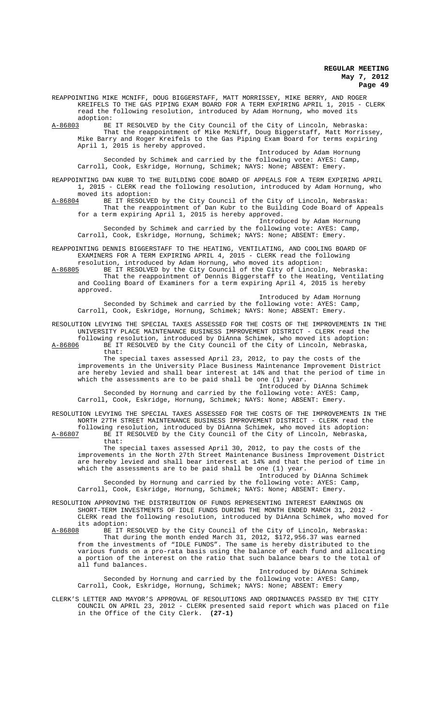REAPPOINTING MIKE MCNIFF, DOUG BIGGERSTAFF, MATT MORRISSEY, MIKE BERRY, AND ROGER KREIFELS TO THE GAS PIPING EXAM BOARD FOR A TERM EXPIRING APRIL 1, 2015 - CLERK read the following resolution, introduced by Adam Hornung, who moved its adoption:<br><u>A-86803</u> BE A-86803 BE IT RESOLVED by the City Council of the City of Lincoln, Nebraska: That the reappointment of Mike McNiff, Doug Biggerstaff, Matt Morrissey, Mike Barry and Roger Kreifels to the Gas Piping Exam Board for terms expiring April 1, 2015 is hereby approved. Introduced by Adam Hornung Seconded by Schimek and carried by the following vote: AYES: Camp, Carroll, Cook, Eskridge, Hornung, Schimek; NAYS: None; ABSENT: Emery. REAPPOINTING DAN KUBR TO THE BUILDING CODE BOARD OF APPEALS FOR A TERM EXPIRING APRIL 1, 2015 - CLERK read the following resolution, introduced by Adam Hornung, who moved its adoption:<br>A-86804 BE IT RESOLVE A-86804 BE IT RESOLVED by the City Council of the City of Lincoln, Nebraska: That the reappointment of Dan Kubr to the Building Code Board of Appeals for a term expiring April 1, 2015 is hereby approved. Introduced by Adam Hornung Seconded by Schimek and carried by the following vote: AYES: Camp, Carroll, Cook, Eskridge, Hornung, Schimek; NAYS: None; ABSENT: Emery. REAPPOINTING DENNIS BIGGERSTAFF TO THE HEATING, VENTILATING, AND COOLING BOARD OF EXAMINERS FOR A TERM EXPIRING APRIL 4, 2015 - CLERK read the following resolution, introduced by Adam Hornung, who moved its adoption: A-86805 BE IT RESOLVED by the City Council of the City of Lincoln, Nebraska: That the reappointment of Dennis Biggerstaff to the Heating, Ventilating and Cooling Board of Examiners for a term expiring April 4, 2015 is hereby approved. Introduced by Adam Hornung Seconded by Schimek and carried by the following vote: AYES: Camp, Carroll, Cook, Eskridge, Hornung, Schimek; NAYS: None; ABSENT: Emery. RESOLUTION LEVYING THE SPECIAL TAXES ASSESSED FOR THE COSTS OF THE IMPROVEMENTS IN THE UNIVERSITY PLACE MAINTENANCE BUSINESS IMPROVEMENT DISTRICT - CLERK read the following resolution, introduced by DiAnna Schimek, who moved its adoption:<br>A-86806 BE IT RESOLVED by the City Council of the City of Lincoln, Nebraska, BE IT RESOLVED by the City Council of the City of Lincoln, Nebraska, that: The special taxes assessed April 23, 2012, to pay the costs of the improvements in the University Place Business Maintenance Improvement District are hereby levied and shall bear interest at 14% and that the period of time in which the assessments are to be paid shall be one (1) year. Introduced by DiAnna Schimek Seconded by Hornung and carried by the following vote: AYES: Camp, Carroll, Cook, Eskridge, Hornung, Schimek; NAYS: None; ABSENT: Emery. RESOLUTION LEVYING THE SPECIAL TAXES ASSESSED FOR THE COSTS OF THE IMPROVEMENTS IN THE NORTH 27TH STREET MAINTENANCE BUSINESS IMPROVEMENT DISTRICT - CLERK read the following resolution, introduced by DiAnna Schimek, who moved its adoption: A-86807 BE IT RESOLVED by the City Council of the City of Lincoln, Nebraska, that: The special taxes assessed April 30, 2012, to pay the costs of the improvements in the North 27th Street Maintenance Business Improvement District are hereby levied and shall bear interest at 14% and that the period of time in which the assessments are to be paid shall be one (1) year. Introduced by DiAnna Schimek Seconded by Hornung and carried by the following vote: AYES: Camp, Carroll, Cook, Eskridge, Hornung, Schimek; NAYS: None; ABSENT: Emery. RESOLUTION APPROVING THE DISTRIBUTION OF FUNDS REPRESENTING INTEREST EARNINGS ON SHORT-TERM INVESTMENTS OF IDLE FUNDS DURING THE MONTH ENDED MARCH 31, 2012 - CLERK read the following resolution, introduced by DiAnna Schimek, who moved for its adoption:<br>A-86808 BE IT F BE IT RESOLVED by the City Council of the City of Lincoln, Nebraska: That during the month ended March 31, 2012, \$172,956.37 was earned from the investments of "IDLE FUNDS". The same is hereby distributed to the various funds on a pro-rata basis using the balance of each fund and allocating a portion of the interest on the ratio that such balance bears to the total of all fund balances. Introduced by DiAnna Schimek Seconded by Hornung and carried by the following vote: AYES: Camp, Carroll, Cook, Eskridge, Hornung, Schimek; NAYS: None; ABSENT: Emery CLERK'S LETTER AND MAYOR'S APPROVAL OF RESOLUTIONS AND ORDINANCES PASSED BY THE CITY COUNCIL ON APRIL 23, 2012 - CLERK presented said report which was placed on file in the Office of the City Clerk. **(27-1)**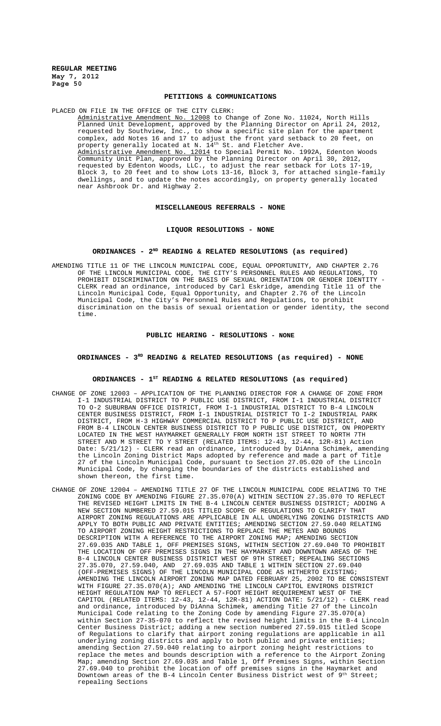# **PETITIONS & COMMUNICATIONS**

PLACED ON FILE IN THE OFFICE OF THE CITY CLERK: Administrative Amendment No. 12008 to Change of Zone No. 11024, North Hills Planned Unit Development, approved by the Planning Director on April 24, 2012, requested by Southview, Inc., to show a specific site plan for the apartment complex, add Notes 16 and 17 to adjust the front yard setback to 20 feet, on property generally located at N. 14<sup>th</sup> St. and Fletcher Ave. Administrative Amendment No. 12014 to Special Permit No. 1992A, Edenton Woods Community Unit Plan, approved by the Planning Director on April 30, 2012, Community Unit Plan, approved by the Planning Director on April 30, 2012, requested by Edenton Woods, LLC., to adjust the rear setback for Lots 17-19, Block 3, to 20 feet and to show Lots 13-16, Block 3, for attached single-family dwellings, and to update the notes accordingly, on property generally located near Ashbrook Dr. and Highway 2.

## **MISCELLANEOUS REFERRALS - NONE**

#### **LIQUOR RESOLUTIONS - NONE**

#### **ORDINANCES - 2ND READING & RELATED RESOLUTIONS (as required)**

AMENDING TITLE 11 OF THE LINCOLN MUNICIPAL CODE, EQUAL OPPORTUNITY, AND CHAPTER 2.76 OF THE LINCOLN MUNICIPAL CODE, THE CITY'S PERSONNEL RULES AND REGULATIONS, TO PROHIBIT DISCRIMINATION ON THE BASIS OF SEXUAL ORIENTATION OR GENDER IDENTITY - CLERK read an ordinance, introduced by Carl Eskridge, amending Title 11 of the Lincoln Municipal Code, Equal Opportunity, and Chapter 2.76 of the Lincoln Municipal Code, the City's Personnel Rules and Regulations, to prohibit discrimination on the basis of sexual orientation or gender identity, the second time.

#### **PUBLIC HEARING - RESOLUTIONS - NONE**

# ORDINANCES - 3<sup>RD</sup> READING & RELATED RESOLUTIONS (as required) - NONE

#### **ORDINANCES - 1ST READING & RELATED RESOLUTIONS (as required)**

- CHANGE OF ZONE 12003 APPLICATION OF THE PLANNING DIRECTOR FOR A CHANGE OF ZONE FROM I-1 INDUSTRIAL DISTRICT TO P PUBLIC USE DISTRICT, FROM I-1 INDUSTRIAL DISTRICT TO O-2 SUBURBAN OFFICE DISTRICT, FROM I-1 INDUSTRIAL DISTRICT TO B-4 LINCOLN CENTER BUSINESS DISTRICT, FROM I-1 INDUSTRIAL DISTRICT TO I-2 INDUSTRIAL PARK DISTRICT, FROM H-3 HIGHWAY COMMERCIAL DISTRICT TO P PUBLIC USE DISTRICT, AND FROM B-4 LINCOLN CENTER BUSINESS DISTRICT TO P PUBLIC USE DISTRICT, ON PROPERTY LOCATED IN THE WEST HAYMARKET GENERALLY FROM NORTH 1ST STREET TO NORTH 7TH STREET AND M STREET TO Y STREET (RELATED ITEMS: 12-43, 12-44, 12R-81) Action Date: 5/21/12) - CLERK read an ordinance, introduced by DiAnna Schimek, amending the Lincoln Zoning District Maps adopted by reference and made a part of Title 27 of the Lincoln Municipal Code, pursuant to Section 27.05.020 of the Lincoln Municipal Code, by changing the boundaries of the districts established and shown thereon, the first time.
- CHANGE OF ZONE 12004 AMENDING TITLE 27 OF THE LINCOLN MUNICIPAL CODE RELATING TO THE ZONING CODE BY AMENDING FIGURE 27.35.070(A) WITHIN SECTION 27.35.070 TO REFLECT THE REVISED HEIGHT LIMITS IN THE B-4 LINCOLN CENTER BUSINESS DISTRICT; ADDING A NEW SECTION NUMBERED 27.59.015 TITLED SCOPE OF REGULATIONS TO CLARIFY THAT AIRPORT ZONING REGULATIONS ARE APPLICABLE IN ALL UNDERLYING ZONING DISTRICTS AND APPLY TO BOTH PUBLIC AND PRIVATE ENTITIES; AMENDING SECTION 27.59.040 RELATING TO AIRPORT ZONING HEIGHT RESTRICTIONS TO REPLACE THE METES AND BOUNDS DESCRIPTION WITH A REFERENCE TO THE AIRPORT ZONING MAP; AMENDING SECTION 27.69.035 AND TABLE 1, OFF PREMISES SIGNS, WITHIN SECTION 27.69.040 TO PROHIBIT THE LOCATION OF OFF PREMISES SIGNS IN THE HAYMARKET AND DOWNTOWN AREAS OF THE B-4 LINCOLN CENTER BUSINESS DISTRICT WEST OF 9TH STREET; REPEALING SECTIONS 27.35.070, 27.59.040, AND 27.69.035 AND TABLE 1 WITHIN SECTION 27.69.040 (OFF-PREMISES SIGNS) OF THE LINCOLN MUNICIPAL CODE AS HITHERTO EXISTING; AMENDING THE LINCOLN AIRPORT ZONING MAP DATED FEBRUARY 25, 2002 TO BE CONSISTENT WITH FIGURE 27.35.070(A); AND AMENDING THE LINCOLN CAPITOL ENVIRONS DISTRICT HEIGHT REGULATION MAP TO REFLECT A 57-FOOT HEIGHT REQUIREMENT WEST OF THE CAPITOL (RELATED ITEMS: 12-43, 12-44, 12R-81) ACTION DATE: 5/21/12) - CLERK read and ordinance, introduced by DiAnna Schimek, amending Title 27 of the Lincoln Municipal Code relating to the Zoning Code by amending Figure 27.35.070(a) within Section 27-35-070 to reflect the revised height limits in the B-4 Lincoln Center Business District; adding a new section numbered 27.59.015 titled Scope of Regulations to clarify that airport zoning regulations are applicable in all underlying zoning districts and apply to both public and private entities; amending Section 27.59.040 relating to airport zoning height restrictions to replace the metes and bounds description with a reference to the Airport Zoning Map; amending Section 27.69.035 and Table 1, Off Premises Signs, within Section 27.69.040 to prohibit the location of off premises signs in the Haymarket and Downtown areas of the B-4 Lincoln Center Business District west of 9<sup>th</sup> Street; repealing Sections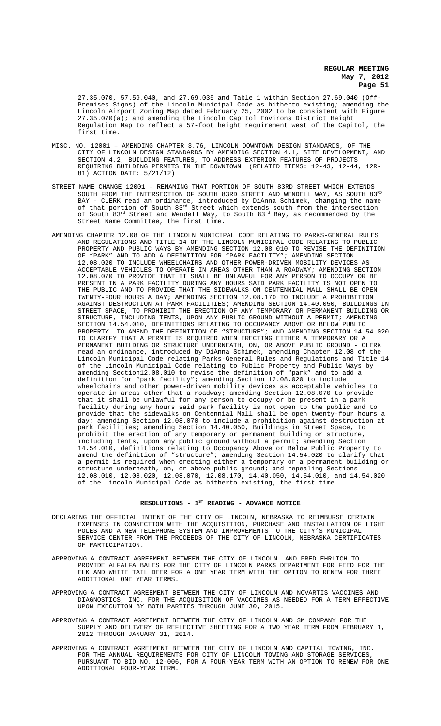27.35.070, 57.59.040, and 27.69.035 and Table 1 within Section 27.69.040 (Off-Premises Signs) of the Lincoln Municipal Code as hitherto existing; amending the Lincoln Airport Zoning Map dated February 25, 2002 to be consistent with Figure  $27.35.070(a)$ ; and amending the Lincoln Capitol Environs District Height Regulation Map to reflect a 57-foot height requirement west of the Capitol, the first time.

- MISC. NO. 12001 AMENDING CHAPTER 3.76, LINCOLN DOWNTOWN DESIGN STANDARDS, OF THE CITY OF LINCOLN DESIGN STANDARDS BY AMENDING SECTION 4.1, SITE DEVELOPMENT, AND SECTION 4.2, BUILDING FEATURES, TO ADDRESS EXTERIOR FEATURES OF PROJECTS REQUIRING BUILDING PERMITS IN THE DOWNTOWN. (RELATED ITEMS: 12-43, 12-44, 12R-81) ACTION DATE: 5/21/12)
- STREET NAME CHANGE 12001 RENAMING THAT PORTION OF SOUTH 83RD STREET WHICH EXTENDS SOUTH FROM THE INTERSECTION OF SOUTH 83RD STREET AND WENDELL WAY, AS SOUTH  $83^{\text{\tiny RD}}$ BAY - CLERK read an ordinance, introduced by DiAnna Schimek, changing the name of that portion of South 83<sup>rd</sup> Street which extends south from the intersection of South  $83^{\text{rd}}$  Street and Wendell Way, to South  $83^{\text{rd}}$  Bay, as recommended by the Street Name Committee, the first time.
- AMENDING CHAPTER 12.08 OF THE LINCOLN MUNICIPAL CODE RELATING TO PARKS-GENERAL RULES AND REGULATIONS AND TITLE 14 OF THE LINCOLN MUNICIPAL CODE RELATING TO PUBLIC PROPERTY AND PUBLIC WAYS BY AMENDING SECTION 12.08.010 TO REVISE THE DEFINITION OF "PARK" AND TO ADD A DEFINITION FOR "PARK FACILITY"; AMENDING SECTION 12.08.020 TO INCLUDE WHEELCHAIRS AND OTHER POWER-DRIVEN MOBILITY DEVICES AS ACCEPTABLE VEHICLES TO OPERATE IN AREAS OTHER THAN A ROADWAY; AMENDING SECTION 12.08.070 TO PROVIDE THAT IT SHALL BE UNLAWFUL FOR ANY PERSON TO OCCUPY OR BE PRESENT IN A PARK FACILITY DURING ANY HOURS SAID PARK FACILITY IS NOT OPEN TO THE PUBLIC AND TO PROVIDE THAT THE SIDEWALKS ON CENTENNIAL MALL SHALL BE OPEN TWENTY-FOUR HOURS A DAY; AMENDING SECTION 12.08.170 TO INCLUDE A PROHIBITION AGAINST DESTRUCTION AT PARK FACILITIES; AMENDING SECTION 14.40.050, BUILDINGS IN STREET SPACE, TO PROHIBIT THE ERECTION OF ANY TEMPORARY OR PERMANENT BUILDING OR STRUCTURE, INCLUDING TENTS, UPON ANY PUBLIC GROUND WITHOUT A PERMIT; AMENDING SECTION 14.54.010, DEFINITIONS RELATING TO OCCUPANCY ABOVE OR BELOW PUBLIC PROPERTY TO AMEND THE DEFINITION OF "STRUCTURE"; AND AMENDING SECTION 14.54.020 TO CLARIFY THAT A PERMIT IS REQUIRED WHEN ERECTING EITHER A TEMPORARY OR A PERMANENT BUILDING OR STRUCTURE UNDERNEATH, ON, OR ABOVE PUBLIC GROUND - CLERK read an ordinance, introduced by DiAnna Schimek, amending Chapter 12.08 of the Lincoln Municipal Code relating Parks-General Rules and Regulations and Title 14 of the Lincoln Municipal Code relating to Public Property and Public Ways by amending Section12.08.010 to revise the definition of "park" and to add a definition for "park facility"; amending Section 12.08.020 to include wheelchairs and other power-driven mobility devices as acceptable vehicles to operate in areas other that a roadway; amending Section 12.08.070 to provide that it shall be unlawful for any person to occupy or be present in a park facility during any hours said park facility is not open to the public and to provide that the sidewalks on Centennial Mall shall be open twenty-four hours a day; amending Section 12.08.070 to include a prohibition against destruction at park facilities; amending Section 14.40.050, Buildings in Street Space, to prohibit the erection of any temporary or permanent building or structure, including tents, upon any public ground without a permit; amending Section 14.54.010, definitions relating to Occupancy Above or Below Public Property to amend the definition of "structure"; amending Section 14.54.020 to clarify that a permit is required when erecting either a temporary or a permanent building or structure underneath, on, or above public ground; and repealing Sections 12.08.010, 12.08.020, 12.08.070, 12.08.170, 14.40.050, 14.54.010, and 14.54.020 of the Lincoln Municipal Code as hitherto existing, the first time.

#### RESOLUTIONS - 1<sup>st</sup> READING - ADVANCE NOTICE

- DECLARING THE OFFICIAL INTENT OF THE CITY OF LINCOLN, NEBRASKA TO REIMBURSE CERTAIN EXPENSES IN CONNECTION WITH THE ACQUISITION, PURCHASE AND INSTALLATION OF LIGHT POLES AND A NEW TELEPHONE SYSTEM AND IMPROVEMENTS TO THE CITY'S MUNICIPAL SERVICE CENTER FROM THE PROCEEDS OF THE CITY OF LINCOLN, NEBRASKA CERTIFICATES OF PARTICIPATION.
- APPROVING A CONTRACT AGREEMENT BETWEEN THE CITY OF LINCOLN AND FRED EHRLICH TO PROVIDE ALFALFA BALES FOR THE CITY OF LINCOLN PARKS DEPARTMENT FOR FEED FOR THE ELK AND WHITE TAIL DEER FOR A ONE YEAR TERM WITH THE OPTION TO RENEW FOR THREE ADDITIONAL ONE YEAR TERMS.
- APPROVING A CONTRACT AGREEMENT BETWEEN THE CITY OF LINCOLN AND NOVARTIS VACCINES AND DIAGNOSTICS, INC. FOR THE ACQUISITION OF VACCINES AS NEEDED FOR A TERM EFFECTIVE UPON EXECUTION BY BOTH PARTIES THROUGH JUNE 30, 2015.
- APPROVING A CONTRACT AGREEMENT BETWEEN THE CITY OF LINCOLN AND 3M COMPANY FOR THE SUPPLY AND DELIVERY OF REFLECTIVE SHEETING FOR A TWO YEAR TERM FROM FEBRUARY 1, 2012 THROUGH JANUARY 31, 2014.
- APPROVING A CONTRACT AGREEMENT BETWEEN THE CITY OF LINCOLN AND CAPITAL TOWING, INC. FOR THE ANNUAL REQUIREMENTS FOR CITY OF LINCOLN TOWING AND STORAGE SERVICES, PURSUANT TO BID NO. 12-006, FOR A FOUR-YEAR TERM WITH AN OPTION TO RENEW FOR ONE ADDITIONAL FOUR-YEAR TERM.